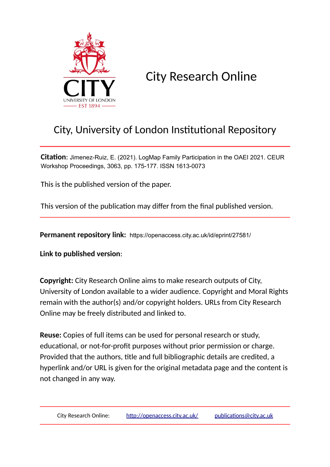

City Research Online

# City, University of London Institutional Repository

**Citation**: Jimenez-Ruiz, E. (2021). LogMap Family Participation in the OAEI 2021. CEUR Workshop Proceedings, 3063, pp. 175-177. ISSN 1613-0073

This is the published version of the paper.

This version of the publication may differ from the final published version.

**Permanent repository link:** https://openaccess.city.ac.uk/id/eprint/27581/

**Link to published version**:

**Copyright:** City Research Online aims to make research outputs of City, University of London available to a wider audience. Copyright and Moral Rights remain with the author(s) and/or copyright holders. URLs from City Research Online may be freely distributed and linked to.

**Reuse:** Copies of full items can be used for personal research or study, educational, or not-for-profit purposes without prior permission or charge. Provided that the authors, title and full bibliographic details are credited, a hyperlink and/or URL is given for the original metadata page and the content is not changed in any way.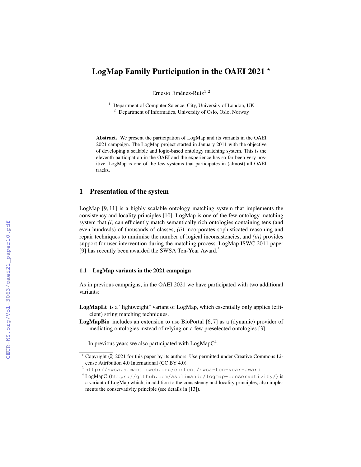# LogMap Family Participation in the OAEI 2021  $\star$

Ernesto Jiménez-Ruiz<sup>1,2</sup>

<sup>1</sup> Department of Computer Science, City, University of London, UK <sup>2</sup> Department of Informatics, University of Oslo, Oslo, Norway

Abstract. We present the participation of LogMap and its variants in the OAEI 2021 campaign. The LogMap project started in January 2011 with the objective of developing a scalable and logic-based ontology matching system. This is the eleventh participation in the OAEI and the experience has so far been very positive. LogMap is one of the few systems that participates in (almost) all OAEI tracks.

# 1 Presentation of the system

LogMap [9, 11] is a highly scalable ontology matching system that implements the consistency and locality principles [10]. LogMap is one of the few ontology matching system that *(i)* can efficiently match semantically rich ontologies containing tens (and even hundreds) of thousands of classes, *(ii)* incorporates sophisticated reasoning and repair techniques to minimise the number of logical inconsistencies, and *(iii)* provides support for user intervention during the matching process. LogMap ISWC 2011 paper [9] has recently been awarded the SWSA Ten-Year Award.<sup>3</sup>

#### 1.1 LogMap variants in the 2021 campaign

As in previous campaigns, in the OAEI 2021 we have participated with two additional variants:

- LogMapLt is a "lightweight" variant of LogMap, which essentially only applies (efficient) string matching techniques.
- LogMapBio includes an extension to use BioPortal [6, 7] as a (dynamic) provider of mediating ontologies instead of relying on a few preselected ontologies [3].

In previous years we also participated with  $LogMapC<sup>4</sup>$ .

 $*$  Copyright  $\circled{c}$  2021 for this paper by its authors. Use permitted under Creative Commons License Attribution 4.0 International (CC BY 4.0).

<sup>3</sup> http://swsa.semanticweb.org/content/swsa-ten-year-award

<sup>4</sup> LogMapC (https://github.com/asolimando/logmap-conservativity/) is a variant of LogMap which, in addition to the consistency and locality principles, also implements the conservativity principle (see details in [13]).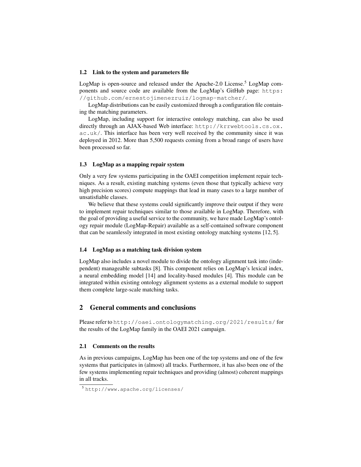#### 1.2 Link to the system and parameters file

LogMap is open-source and released under the Apache-2.0 License.<sup>5</sup> LogMap components and source code are available from the LogMap's GitHub page: https: //github.com/ernestojimenezruiz/logmap-matcher/.

LogMap distributions can be easily customized through a configuration file containing the matching parameters.

LogMap, including support for interactive ontology matching, can also be used directly through an AJAX-based Web interface: http://krrwebtools.cs.ox. ac.uk/. This interface has been very well received by the community since it was deployed in 2012. More than 5,500 requests coming from a broad range of users have been processed so far.

#### 1.3 LogMap as a mapping repair system

Only a very few systems participating in the OAEI competition implement repair techniques. As a result, existing matching systems (even those that typically achieve very high precision scores) compute mappings that lead in many cases to a large number of unsatisfiable classes.

We believe that these systems could significantly improve their output if they were to implement repair techniques similar to those available in LogMap. Therefore, with the goal of providing a useful service to the community, we have made LogMap's ontology repair module (LogMap-Repair) available as a self-contained software component that can be seamlessly integrated in most existing ontology matching systems [12, 5].

#### 1.4 LogMap as a matching task division system

LogMap also includes a novel module to divide the ontology alignment task into (independent) manageable subtasks [8]. This component relies on LogMap's lexical index, a neural embedding model [14] and locality-based modules [4]. This module can be integrated within existing ontology alignment systems as a external module to support them complete large-scale matching tasks.

## 2 General comments and conclusions

Please refer to http://oaei.ontologymatching.org/2021/results/ for the results of the LogMap family in the OAEI 2021 campaign.

#### 2.1 Comments on the results

As in previous campaigns, LogMap has been one of the top systems and one of the few systems that participates in (almost) all tracks. Furthermore, it has also been one of the few systems implementing repair techniques and providing (almost) coherent mappings in all tracks.

<sup>5</sup> http://www.apache.org/licenses/